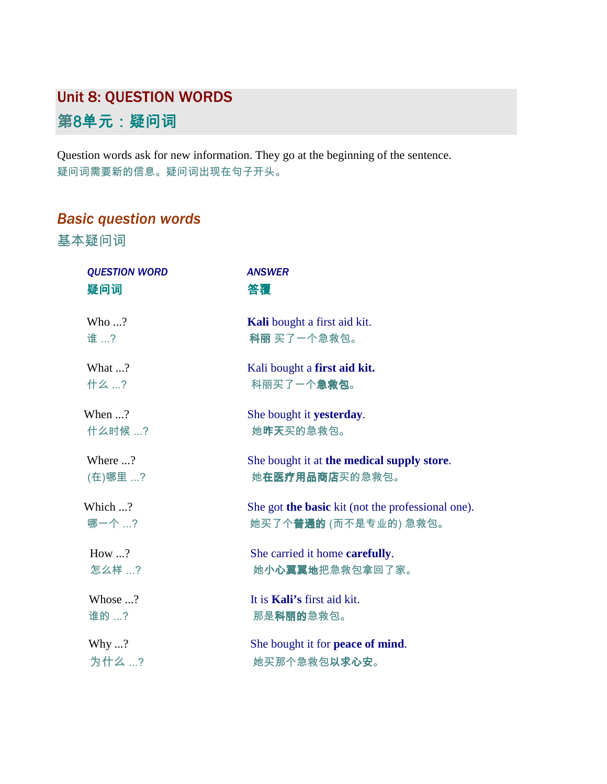## Unit 8: QUESTION WORDS 第8单元:疑问词

Question words ask for new information. They go at the beginning of the sentence. 疑问词需要新的信息。疑问词出现在句子开头。

## *Basic question words*

基本疑问词

| <b>QUESTION WORD</b><br>疑问词 | <b>ANSWER</b><br>答覆                                                                |
|-----------------------------|------------------------------------------------------------------------------------|
| Who $\ldots$ ?<br>谁…?       | Kali bought a first aid kit.<br>科丽买了一个急救包。                                         |
| What ?<br>什么 ?              | Kali bought a first aid kit.<br>科丽买了一个急救包。                                         |
| When $\ldots$ ?<br>什么时候 ?   | She bought it yesterday.<br>她昨天买的急救包。                                              |
| Where ?<br>(在)哪里 ?          | She bought it at the medical supply store.<br>她 <b>在医疗用品商店</b> 买的急救包。              |
| Which ?<br>哪一个 ?            | She got the basic kit (not the professional one).<br>她买了个 <b>普通的</b> (而不是专业的) 急救包。 |
| How $\ldots$ ?<br>怎么样…?     | She carried it home carefully.<br>她 <b>小心翼翼地</b> 把急救包拿回了家。                         |
| Whose ?<br>谁的 ?             | It is Kali's first aid kit.<br>那是科丽的急救包。                                           |
| Why ?<br>为什么…?              | She bought it for peace of mind.<br>她买那个急救包 <b>以求心安</b> 。                          |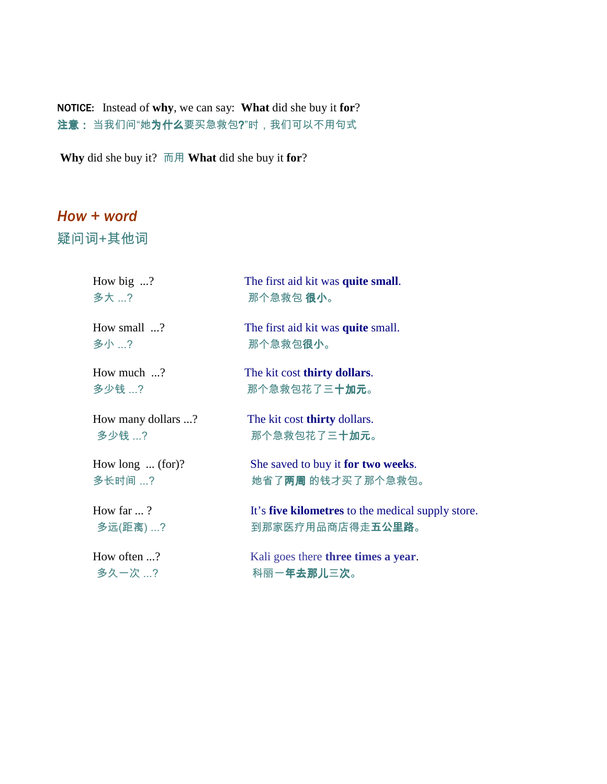NOTICE: Instead of **why**, we can say: **What** did she buy it **for**? 注意: 当我们问"她为什么要买急救包?"时,我们可以不用句式

**Why** did she buy it? 而用 **What** did she buy it **for**?

## *How + word*

疑问词+其他词

| How big $\ldots$ ?       | The first aid kit was quite small.                       |
|--------------------------|----------------------------------------------------------|
| 多大 ?                     | 那个急救包 <b>很小</b> 。                                        |
| How small ?              | The first aid kit was <b>quite</b> small.                |
| 多小 ?                     | 那个急救包 <b>很小</b> 。                                        |
| How much ?               | The kit cost thirty dollars.                             |
| 多少钱 ?                    | 那个急救包花了三 <b>十加元</b> 。                                    |
| How many dollars ?       | The kit cost <b>thirty</b> dollars.                      |
| 多少钱 ?                    | 那个急救包花了三 <b>十加元</b> 。                                    |
| How long $\ldots$ (for)? | She saved to buy it for two weeks.                       |
| 多长时间 ?                   | 她省了两周 的钱才买了那个急救包。                                        |
| How far $\ldots$ ?       | It's <b>five kilometres</b> to the medical supply store. |
| 多远(距离) ?                 | 到那家医疗用品商店得走 <b>五公里路</b> 。                                |
| How often ?              | Kali goes there three times a year.                      |
| 多久一次 ?                   | 科丽一年去那儿三次。                                               |